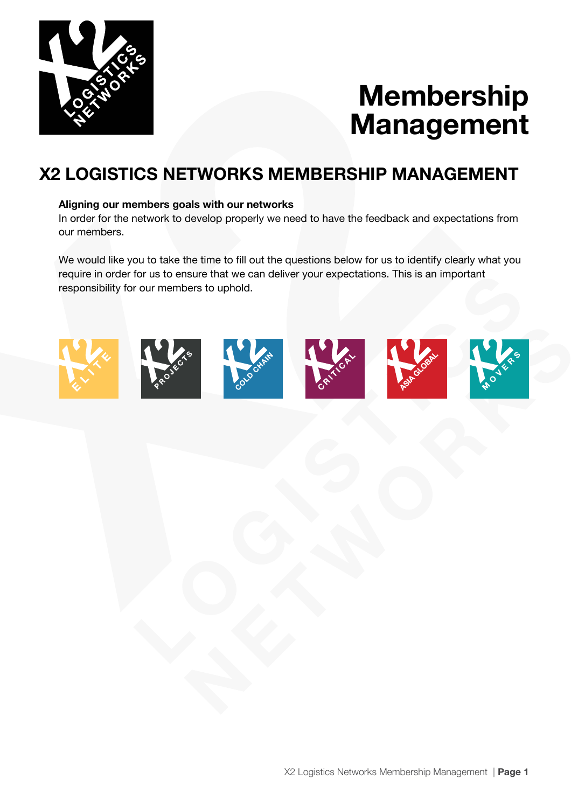

# **Membership Management**

### **X2 LOGISTICS NETWORKS MEMBERSHIP MANAGEMENT**

#### **Aligning our members goals with our networks**

In order for the network to develop properly we need to have the feedback and expectations from our members.

We would like you to take the time to fill out the questions below for us to identify clearly what you require in order for us to ensure that we can deliver your expectations. This is an important responsibility for our members to uphold.











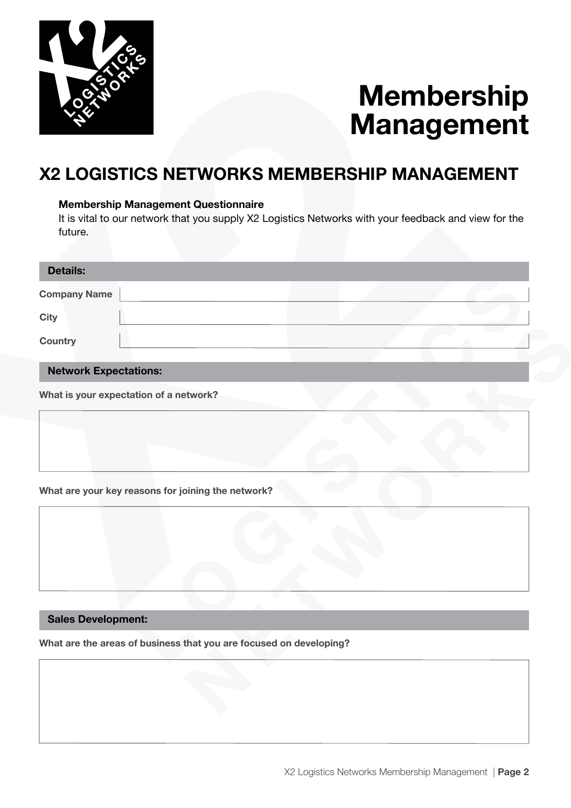

# **Membership Management**

### **X2 LOGISTICS NETWORKS MEMBERSHIP MANAGEMENT**

#### **Membership Management Questionnaire**

It is vital to our network that you supply X2 Logistics Networks with your feedback and view for the future.

| <b>Details:</b>     |  |  |  |
|---------------------|--|--|--|
| <b>Company Name</b> |  |  |  |
| <b>City</b>         |  |  |  |
| <b>Country</b>      |  |  |  |
|                     |  |  |  |

#### **Network Expectations:**

**What is your expectation of a network?**

#### **What are your key reasons for joining the network?**



#### **Sales Development:**

**What are the areas of business that you are focused on developing?**